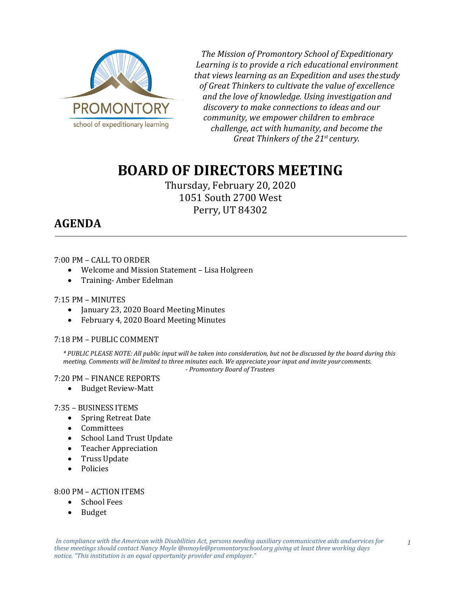

*The Mission of Promontory School of Expeditionary Learning is to provide a rich educational environment that views learning as an Expedition and uses thestudy of Great Thinkers to cultivate the value of excellence and the love of knowledge. Using investigation and discovery to make connections to ideas and our community, we empower children to embrace challenge, act with humanity, and become the Great Thinkers of the 21st century.*

# **BOARD OF DIRECTORS MEETING**

Thursday, February 20, 2020 1051 South 2700 West Perry, UT 84302

# **AGENDA**

## 7:00 PM – CALL TO ORDER

- Welcome and Mission Statement Lisa Holgreen
- Training- Amber Edelman

### 7:15 PM – MINUTES

- January 23, 2020 Board Meeting Minutes
- February 4, 2020 Board Meeting Minutes

# 7:18 PM – PUBLIC COMMENT

*\* PUBLIC PLEASE NOTE: All public input will be taken into consideration, but not be discussed by the board during this meeting. Comments will be limited to three minutes each. We appreciate your input and invite yourcomments.*

*- Promontory Board of Trustees*

# 7:20 PM – FINANCE REPORTS

• Budget Review-Matt

#### 7:35 – BUSINESS ITEMS

- Spring Retreat Date
- Committees
- School Land Trust Update
- Teacher Appreciation
- Truss Update
- Policies

#### 8:00 PM – ACTION ITEMS

- School Fees
- Budget